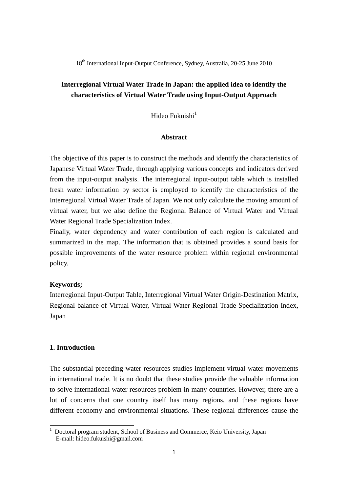18<sup>th</sup> International Input-Output Conference, Sydney, Australia, 20-25 June 2010

# **Interregional Virtual Water Trade in Japan: the applied idea to identify the characteristics of Virtual Water Trade using Input-Output Approach**

Hideo Fukuishi $<sup>1</sup>$ </sup>

## **Abstract**

The objective of this paper is to construct the methods and identify the characteristics of Japanese Virtual Water Trade, through applying various concepts and indicators derived from the input-output analysis. The interregional input-output table which is installed fresh water information by sector is employed to identify the characteristics of the Interregional Virtual Water Trade of Japan. We not only calculate the moving amount of virtual water, but we also define the Regional Balance of Virtual Water and Virtual Water Regional Trade Specialization Index.

Finally, water dependency and water contribution of each region is calculated and summarized in the map. The information that is obtained provides a sound basis for possible improvements of the water resource problem within regional environmental policy.

## **Keywords;**

Interregional Input-Output Table, Interregional Virtual Water Origin-Destination Matrix, Regional balance of Virtual Water, Virtual Water Regional Trade Specialization Index, Japan

## **1. Introduction**

-

The substantial preceding water resources studies implement virtual water movements in international trade. It is no doubt that these studies provide the valuable information to solve international water resources problem in many countries. However, there are a lot of concerns that one country itself has many regions, and these regions have different economy and environmental situations. These regional differences cause the

<sup>1</sup> Doctoral program student, School of Business and Commerce, Keio University, Japan E-mail: hideo.fukuishi@gmail.com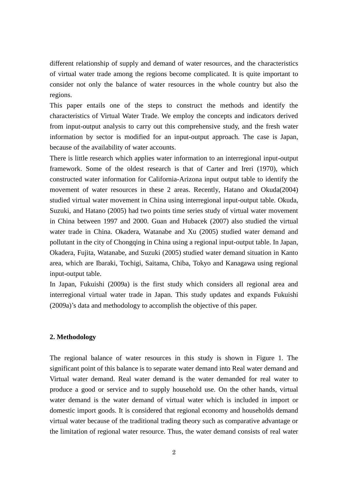different relationship of supply and demand of water resources, and the characteristics of virtual water trade among the regions become complicated. It is quite important to consider not only the balance of water resources in the whole country but also the regions.

This paper entails one of the steps to construct the methods and identify the characteristics of Virtual Water Trade. We employ the concepts and indicators derived from input-output analysis to carry out this comprehensive study, and the fresh water information by sector is modified for an input-output approach. The case is Japan, because of the availability of water accounts.

There is little research which applies water information to an interregional input-output framework. Some of the oldest research is that of Carter and Ireri (1970), which constructed water information for California-Arizona input output table to identify the movement of water resources in these 2 areas. Recently, Hatano and Okuda(2004) studied virtual water movement in China using interregional input-output table. Okuda, Suzuki, and Hatano (2005) had two points time series study of virtual water movement in China between 1997 and 2000. Guan and Hubacek (2007) also studied the virtual water trade in China. Okadera, Watanabe and Xu (2005) studied water demand and pollutant in the city of Chongqing in China using a regional input-output table. In Japan, Okadera, Fujita, Watanabe, and Suzuki (2005) studied water demand situation in Kanto area, which are Ibaraki, Tochigi, Saitama, Chiba, Tokyo and Kanagawa using regional input-output table.

In Japan, Fukuishi (2009a) is the first study which considers all regional area and interregional virtual water trade in Japan. This study updates and expands Fukuishi (2009a)'s data and methodology to accomplish the objective of this paper.

#### **2. Methodology**

The regional balance of water resources in this study is shown in Figure 1. The significant point of this balance is to separate water demand into Real water demand and Virtual water demand. Real water demand is the water demanded for real water to produce a good or service and to supply household use. On the other hands, virtual water demand is the water demand of virtual water which is included in import or domestic import goods. It is considered that regional economy and households demand virtual water because of the traditional trading theory such as comparative advantage or the limitation of regional water resource. Thus, the water demand consists of real water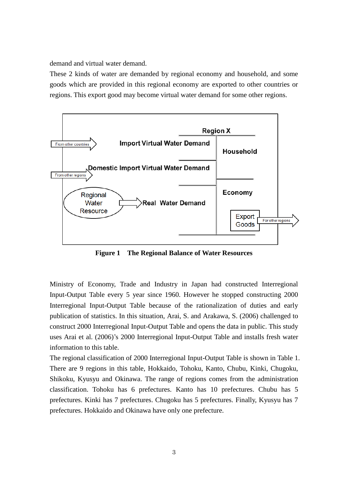demand and virtual water demand.

These 2 kinds of water are demanded by regional economy and household, and some goods which are provided in this regional economy are exported to other countries or regions. This export good may become virtual water demand for some other regions.



**Figure 1 The Regional Balance of Water Resources**

Ministry of Economy, Trade and Industry in Japan had constructed Interregional Input-Output Table every 5 year since 1960. However he stopped constructing 2000 Interregional Input-Output Table because of the rationalization of duties and early publication of statistics. In this situation, Arai, S. and Arakawa, S. (2006) challenged to construct 2000 Interregional Input-Output Table and opens the data in public. This study uses Arai et al. (2006)'s 2000 Interregional Input-Output Table and installs fresh water information to this table.

The regional classification of 2000 Interregional Input-Output Table is shown in Table 1. There are 9 regions in this table, Hokkaido, Tohoku, Kanto, Chubu, Kinki, Chugoku, Shikoku, Kyusyu and Okinawa. The range of regions comes from the administration classification. Tohoku has 6 prefectures. Kanto has 10 prefectures. Chubu has 5 prefectures. Kinki has 7 prefectures. Chugoku has 5 prefectures. Finally, Kyusyu has 7 prefectures. Hokkaido and Okinawa have only one prefecture.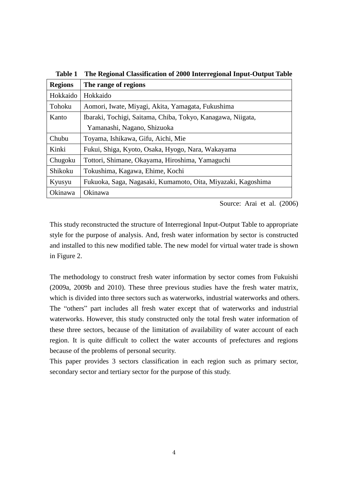| 1uviv 1        | The Regional Chassineation of 2000 mittingfonal mput Output Task |
|----------------|------------------------------------------------------------------|
| <b>Regions</b> | The range of regions                                             |
| Hokkaido       | Hokkaido                                                         |
| Tohoku         | Aomori, Iwate, Miyagi, Akita, Yamagata, Fukushima                |
| Kanto          | Ibaraki, Tochigi, Saitama, Chiba, Tokyo, Kanagawa, Niigata,      |
|                | Yamanashi, Nagano, Shizuoka                                      |
| Chubu          | Toyama, Ishikawa, Gifu, Aichi, Mie                               |
| Kinki          | Fukui, Shiga, Kyoto, Osaka, Hyogo, Nara, Wakayama                |
| Chugoku        | Tottori, Shimane, Okayama, Hiroshima, Yamaguchi                  |
| Shikoku        | Tokushima, Kagawa, Ehime, Kochi                                  |
| Kyusyu         | Fukuoka, Saga, Nagasaki, Kumamoto, Oita, Miyazaki, Kagoshima     |
| Okinawa        | Okinawa                                                          |

**Table 1 The Regional Classification of 2000 Interregional Input-Output Table**

Source: Arai et al. (2006)

This study reconstructed the structure of Interregional Input-Output Table to appropriate style for the purpose of analysis. And, fresh water information by sector is constructed and installed to this new modified table. The new model for virtual water trade is shown in Figure 2.

The methodology to construct fresh water information by sector comes from Fukuishi (2009a, 2009b and 2010). These three previous studies have the fresh water matrix, which is divided into three sectors such as waterworks, industrial waterworks and others. The "others" part includes all fresh water except that of waterworks and industrial waterworks. However, this study constructed only the total fresh water information of these three sectors, because of the limitation of availability of water account of each region. It is quite difficult to collect the water accounts of prefectures and regions because of the problems of personal security.

This paper provides 3 sectors classification in each region such as primary sector, secondary sector and tertiary sector for the purpose of this study.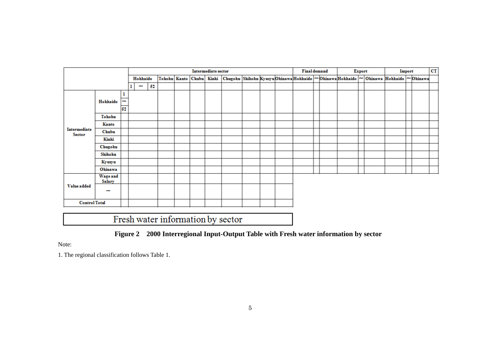|                               |                                            |                | Intermediate sector |                          |    |                        |  |  |  |  |  |  | <b>Final demand</b> |  | Export |  | Import |  | cr |                                                                                               |  |  |  |
|-------------------------------|--------------------------------------------|----------------|---------------------|--------------------------|----|------------------------|--|--|--|--|--|--|---------------------|--|--------|--|--------|--|----|-----------------------------------------------------------------------------------------------|--|--|--|
|                               |                                            |                |                     | Hokkaido                 |    | Tohoku   Kanto   Chubu |  |  |  |  |  |  |                     |  |        |  |        |  |    | Kinki Chugoku Shikoku Kyusyu Okinawa Hokkaido ~ Okinawa Hokkaido ~ Okinawa Hokkaido ~ Okinawa |  |  |  |
|                               |                                            |                |                     | $\overline{\phantom{a}}$ | 52 |                        |  |  |  |  |  |  |                     |  |        |  |        |  |    |                                                                                               |  |  |  |
|                               | Hokkaido                                   | ı<br>ma.<br>52 |                     |                          |    |                        |  |  |  |  |  |  |                     |  |        |  |        |  |    |                                                                                               |  |  |  |
|                               | Tohoku                                     |                |                     |                          |    |                        |  |  |  |  |  |  |                     |  |        |  |        |  |    |                                                                                               |  |  |  |
|                               | Kanto                                      |                |                     |                          |    |                        |  |  |  |  |  |  |                     |  |        |  |        |  |    |                                                                                               |  |  |  |
| Intermediate<br><b>Sector</b> | Chubu                                      |                |                     |                          |    |                        |  |  |  |  |  |  |                     |  |        |  |        |  |    |                                                                                               |  |  |  |
|                               | Kinki                                      |                |                     |                          |    |                        |  |  |  |  |  |  |                     |  |        |  |        |  |    |                                                                                               |  |  |  |
|                               | Chugoku                                    |                |                     |                          |    |                        |  |  |  |  |  |  |                     |  |        |  |        |  |    |                                                                                               |  |  |  |
|                               | Shikoku                                    |                |                     |                          |    |                        |  |  |  |  |  |  |                     |  |        |  |        |  |    |                                                                                               |  |  |  |
|                               | Kyusyu                                     |                |                     |                          |    |                        |  |  |  |  |  |  |                     |  |        |  |        |  |    |                                                                                               |  |  |  |
|                               | Okinawa                                    |                |                     |                          |    |                        |  |  |  |  |  |  |                     |  |        |  |        |  |    |                                                                                               |  |  |  |
|                               | <b>Wage and</b><br>Salary                  |                |                     |                          |    |                        |  |  |  |  |  |  |                     |  |        |  |        |  |    |                                                                                               |  |  |  |
| Value added                   | <b>COM</b>                                 |                |                     |                          |    |                        |  |  |  |  |  |  |                     |  |        |  |        |  |    |                                                                                               |  |  |  |
| <b>Control Total</b>          |                                            |                |                     |                          |    |                        |  |  |  |  |  |  |                     |  |        |  |        |  |    |                                                                                               |  |  |  |
|                               | — 1 <u>. a</u><br><b>STATE OF BUILDING</b> |                |                     |                          |    |                        |  |  |  |  |  |  |                     |  |        |  |        |  |    |                                                                                               |  |  |  |

Fresh water information by sector



Note:

1. The regional classification follows Table 1.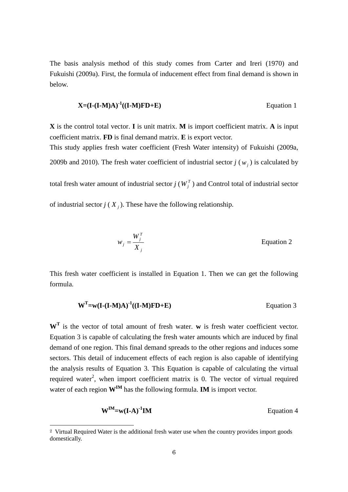The basis analysis method of this study comes from Carter and Ireri (1970) and Fukuishi (2009a). First, the formula of inducement effect from final demand is shown in below.

$$
X = (I - (I - M)A)^{-1}((I - M)FD + E)
$$
Equation 1

**X** is the control total vector. **I** is unit matrix. **M** is import coefficient matrix. **A** is input coefficient matrix. **FD** is final demand matrix. **E** is export vector. This study applies fresh water coefficient (Fresh Water intensity) of Fukuishi (2009a,

2009b and 2010). The fresh water coefficient of industrial sector  $j(w_j)$  is calculated by

total fresh water amount of industrial sector  $j(W_j^T)$  and Control total of industrial sector

of industrial sector  $j(X_j)$ . These have the following relationship.

$$
w_j = \frac{W_j^T}{X_j}
$$
 Equation 2

This fresh water coefficient is installed in Equation 1. Then we can get the following formula.

$$
WT=w(I-(I-M)A)-1((I-M)FD+E)
$$
 Equation 3

**W<sup>T</sup>** is the vector of total amount of fresh water. **w** is fresh water coefficient vector. Equation 3 is capable of calculating the fresh water amounts which are induced by final demand of one region. This final demand spreads to the other regions and induces some sectors. This detail of inducement effects of each region is also capable of identifying the analysis results of Equation 3. This Equation is capable of calculating the virtual required water<sup>2</sup>, when import coefficient matrix is 0. The vector of virtual required water of each region **WIM** has the following formula. **IM** is import vector.

$$
W^{IM} = w(I-A)^{-1}IM
$$
 Equation 4

 $\overline{a}$ 

<sup>2</sup> Virtual Required Water is the additional fresh water use when the country provides import goods domestically.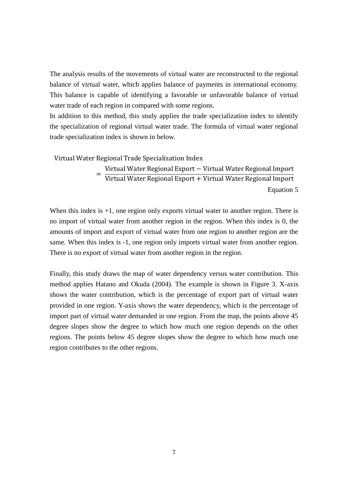The analysis results of the movements of virtual water are reconstructed to the regional balance of virtual water, which applies balance of payments in international economy. This balance is capable of identifying a favorable or unfavorable balance of virtual water trade of each region in compared with some regions.

In addition to this method, this study applies the trade specialization index to identify the specialization of regional virtual water trade. The formula of virtual water regional trade specialization index is shown in below.

#### Virtual Water Regional Trade Specialization Index

= Virtual Water Regional Export − Virtual Water Regional Import Virtual Water Regional Export + Virtual Water Regional Import Equation 5

When this index is  $+1$ , one region only exports virtual water to another region. There is no import of virtual water from another region in the region. When this index is 0, the amounts of import and export of virtual water from one region to another region are the same. When this index is -1, one region only imports virtual water from another region. There is no export of virtual water from another region in the region.

Finally, this study draws the map of water dependency versus water contribution. This method applies Hatano and Okuda (2004). The example is shown in Figure 3. X-axis shows the water contribution, which is the percentage of export part of virtual water provided in one region. Y-axis shows the water dependency, which is the percentage of import part of virtual water demanded in one region. From the map, the points above 45 degree slopes show the degree to which how much one region depends on the other regions. The points below 45 degree slopes show the degree to which how much one region contributes to the other regions.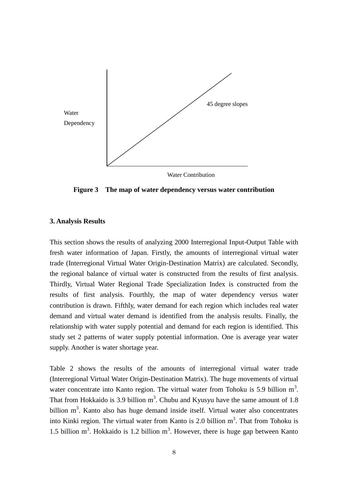

**Figure 3 The map of water dependency versus water contribution**

## **3. Analysis Results**

This section shows the results of analyzing 2000 Interregional Input-Output Table with fresh water information of Japan. Firstly, the amounts of interregional virtual water trade (Interregional Virtual Water Origin-Destination Matrix) are calculated. Secondly, the regional balance of virtual water is constructed from the results of first analysis. Thirdly, Virtual Water Regional Trade Specialization Index is constructed from the results of first analysis. Fourthly, the map of water dependency versus water contribution is drawn. Fifthly, water demand for each region which includes real water demand and virtual water demand is identified from the analysis results. Finally, the relationship with water supply potential and demand for each region is identified. This study set 2 patterns of water supply potential information. One is average year water supply. Another is water shortage year.

Table 2 shows the results of the amounts of interregional virtual water trade (Interregional Virtual Water Origin-Destination Matrix). The huge movements of virtual water concentrate into Kanto region. The virtual water from Tohoku is 5.9 billion  $m<sup>3</sup>$ . That from Hokkaido is 3.9 billion  $m<sup>3</sup>$ . Chubu and Kyusyu have the same amount of 1.8 billion  $m<sup>3</sup>$ . Kanto also has huge demand inside itself. Virtual water also concentrates into Kinki region. The virtual water from Kanto is 2.0 billion  $m<sup>3</sup>$ . That from Tohoku is 1.5 billion  $m<sup>3</sup>$ . Hokkaido is 1.2 billion  $m<sup>3</sup>$ . However, there is huge gap between Kanto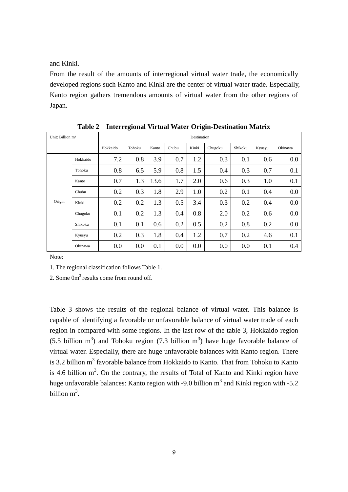and Kinki.

From the result of the amounts of interregional virtual water trade, the economically developed regions such Kanto and Kinki are the center of virtual water trade. Especially, Kanto region gathers tremendous amounts of virtual water from the other regions of Japan.

| Unit: Billion m <sup>3</sup> |          | Destination |        |       |       |       |         |         |        |         |  |  |  |
|------------------------------|----------|-------------|--------|-------|-------|-------|---------|---------|--------|---------|--|--|--|
|                              |          | Hokkaido    | Tohoku | Kanto | Chubu | Kinki | Chugoku | Shikoku | Kyusyu | Okinawa |  |  |  |
|                              | Hokkaido | 7.2         | 0.8    | 3.9   | 0.7   | 1.2   | 0.3     | 0.1     | 0.6    | 0.0     |  |  |  |
|                              | Tohoku   | 0.8         | 6.5    | 5.9   | 0.8   | 1.5   | 0.4     | 0.3     | 0.7    | 0.1     |  |  |  |
|                              | Kanto    | 0.7         | 1.3    | 13.6  | 1.7   | 2.0   | 0.6     | 0.3     | 1.0    | 0.1     |  |  |  |
|                              | Chubu    | 0.2         | 0.3    | 1.8   | 2.9   | 1.0   | 0.2     | 0.1     | 0.4    | 0.0     |  |  |  |
| Origin                       | Kinki    | 0.2         | 0.2    | 1.3   | 0.5   | 3.4   | 0.3     | 0.2     | 0.4    | 0.0     |  |  |  |
|                              | Chugoku  | 0.1         | 0.2    | 1.3   | 0.4   | 0.8   | 2.0     | 0.2     | 0.6    | 0.0     |  |  |  |
|                              | Shikoku  | 0.1         | 0.1    | 0.6   | 0.2   | 0.5   | 0.2     | 0.8     | 0.2    | 0.0     |  |  |  |
|                              | Kyusyu   | 0.2         | 0.3    | 1.8   | 0.4   | 1.2   | 0.7     | 0.2     | 4.6    | 0.1     |  |  |  |
|                              | Okinawa  | 0.0         | 0.0    | 0.1   | 0.0   | 0.0   | 0.0     | 0.0     | 0.1    | 0.4     |  |  |  |

**Table 2 Interregional Virtual Water Origin-Destination Matrix**

Note:

1. The regional classification follows Table 1.

2. Some 0m<sup>3</sup> results come from round off.

Table 3 shows the results of the regional balance of virtual water. This balance is capable of identifying a favorable or unfavorable balance of virtual water trade of each region in compared with some regions. In the last row of the table 3, Hokkaido region  $(5.5 \text{ billion m}^3)$  and Tohoku region  $(7.3 \text{ billion m}^3)$  have huge favorable balance of virtual water. Especially, there are huge unfavorable balances with Kanto region. There is 3.2 billion  $m^3$  favorable balance from Hokkaido to Kanto. That from Tohoku to Kanto is 4.6 billion  $m<sup>3</sup>$ . On the contrary, the results of Total of Kanto and Kinki region have huge unfavorable balances: Kanto region with -9.0 billion  $m^3$  and Kinki region with -5.2 billion  $m^3$ .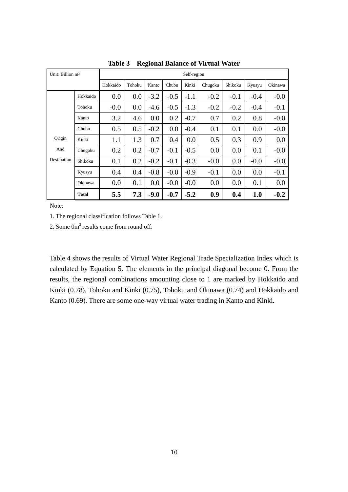| Unit: Billion m <sup>3</sup> |              | Self-region |        |        |        |        |         |         |        |         |  |  |
|------------------------------|--------------|-------------|--------|--------|--------|--------|---------|---------|--------|---------|--|--|
|                              |              | Hokkaido    | Tohoku | Kanto  | Chubu  | Kinki  | Chugoku | Shikoku | Kyusyu | Okinawa |  |  |
|                              | Hokkaido     | 0.0         | 0.0    | $-3.2$ | $-0.5$ | $-1.1$ | $-0.2$  | $-0.1$  | $-0.4$ | $-0.0$  |  |  |
|                              | Tohoku       | $-0.0$      | 0.0    | $-4.6$ | $-0.5$ | $-1.3$ | $-0.2$  | $-0.2$  | $-0.4$ | $-0.1$  |  |  |
|                              | Kanto        | 3.2         | 4.6    | 0.0    | 0.2    | $-0.7$ | 0.7     | 0.2     | 0.8    | $-0.0$  |  |  |
|                              | Chubu        | 0.5         | 0.5    | $-0.2$ | 0.0    | $-0.4$ | 0.1     | 0.1     | 0.0    | $-0.0$  |  |  |
| Origin                       | Kinki        | 1.1         | 1.3    | 0.7    | 0.4    | 0.0    | 0.5     | 0.3     | 0.9    | 0.0     |  |  |
| And                          | Chugoku      | 0.2         | 0.2    | $-0.7$ | $-0.1$ | $-0.5$ | 0.0     | 0.0     | 0.1    | $-0.0$  |  |  |
| Destination                  | Shikoku      | 0.1         | 0.2    | $-0.2$ | $-0.1$ | $-0.3$ | $-0.0$  | 0.0     | $-0.0$ | $-0.0$  |  |  |
|                              | Kyusyu       | 0.4         | 0.4    | $-0.8$ | $-0.0$ | $-0.9$ | $-0.1$  | 0.0     | 0.0    | $-0.1$  |  |  |
|                              | Okinawa      | 0.0         | 0.1    | 0.0    | $-0.0$ | $-0.0$ | 0.0     | 0.0     | 0.1    | 0.0     |  |  |
|                              | <b>Total</b> | 5.5         | 7.3    | $-9.0$ | $-0.7$ | $-5.2$ | 0.9     | 0.4     | 1.0    | $-0.2$  |  |  |

**Table 3 Regional Balance of Virtual Water**

1. The regional classification follows Table 1.

2. Some 0m<sup>3</sup> results come from round off.

Table 4 shows the results of Virtual Water Regional Trade Specialization Index which is calculated by Equation 5. The elements in the principal diagonal become 0. From the results, the regional combinations amounting close to 1 are marked by Hokkaido and Kinki (0.78), Tohoku and Kinki (0.75), Tohoku and Okinawa (0.74) and Hokkaido and Kanto (0.69). There are some one-way virtual water trading in Kanto and Kinki.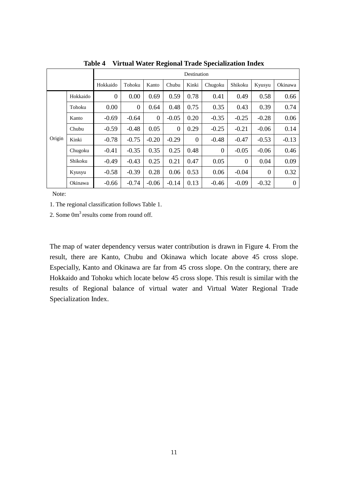|        |          | Destination      |                  |          |          |          |          |          |                  |          |  |  |  |
|--------|----------|------------------|------------------|----------|----------|----------|----------|----------|------------------|----------|--|--|--|
|        |          | Hokkaido         | Tohoku           | Kanto    | Chubu    | Kinki    | Chugoku  | Shikoku  | Kyusyu           | Okinawa  |  |  |  |
| Origin | Hokkaido | $\boldsymbol{0}$ | 0.00             | 0.69     | 0.59     | 0.78     | 0.41     | 0.49     | 0.58             | 0.66     |  |  |  |
|        | Tohoku   | 0.00             | $\boldsymbol{0}$ | 0.64     | 0.48     | 0.75     | 0.35     | 0.43     | 0.39             | 0.74     |  |  |  |
|        | Kanto    | $-0.69$          | $-0.64$          | $\theta$ | $-0.05$  | 0.20     | $-0.35$  | $-0.25$  | $-0.28$          | 0.06     |  |  |  |
|        | Chubu    | $-0.59$          | $-0.48$          | 0.05     | $\Omega$ | 0.29     | $-0.25$  | $-0.21$  | $-0.06$          | 0.14     |  |  |  |
|        | Kinki    | $-0.78$          | $-0.75$          | $-0.20$  | $-0.29$  | $\Omega$ | $-0.48$  | $-0.47$  | $-0.53$          | $-0.13$  |  |  |  |
|        | Chugoku  | $-0.41$          | $-0.35$          | 0.35     | 0.25     | 0.48     | $\Omega$ | $-0.05$  | $-0.06$          | 0.46     |  |  |  |
|        | Shikoku  | $-0.49$          | $-0.43$          | 0.25     | 0.21     | 0.47     | 0.05     | $\Omega$ | 0.04             | 0.09     |  |  |  |
|        | Kyusyu   | $-0.58$          | $-0.39$          | 0.28     | 0.06     | 0.53     | 0.06     | $-0.04$  | $\boldsymbol{0}$ | 0.32     |  |  |  |
|        | Okinawa  | $-0.66$          | $-0.74$          | $-0.06$  | $-0.14$  | 0.13     | $-0.46$  | $-0.09$  | $-0.32$          | $\theta$ |  |  |  |

**Table 4 Virtual Water Regional Trade Specialization Index**

1. The regional classification follows Table 1.

2. Some 0m<sup>3</sup> results come from round off.

The map of water dependency versus water contribution is drawn in Figure 4. From the result, there are Kanto, Chubu and Okinawa which locate above 45 cross slope. Especially, Kanto and Okinawa are far from 45 cross slope. On the contrary, there are Hokkaido and Tohoku which locate below 45 cross slope. This result is similar with the results of Regional balance of virtual water and Virtual Water Regional Trade Specialization Index.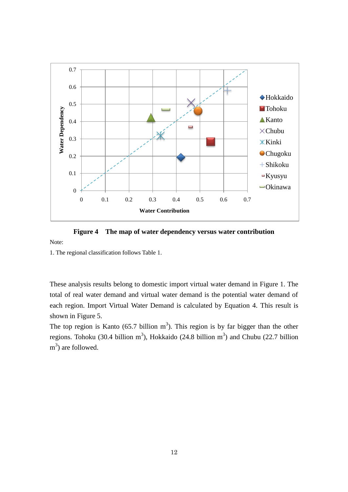

**Figure 4 The map of water dependency versus water contribution**

1. The regional classification follows Table 1.

Note:

These analysis results belong to domestic import virtual water demand in Figure 1. The total of real water demand and virtual water demand is the potential water demand of each region. Import Virtual Water Demand is calculated by Equation 4. This result is shown in Figure 5.

The top region is Kanto (65.7 billion  $m<sup>3</sup>$ ). This region is by far bigger than the other regions. Tohoku (30.4 billion m<sup>3</sup>), Hokkaido (24.8 billion m<sup>3</sup>) and Chubu (22.7 billion m<sup>3</sup>) are followed.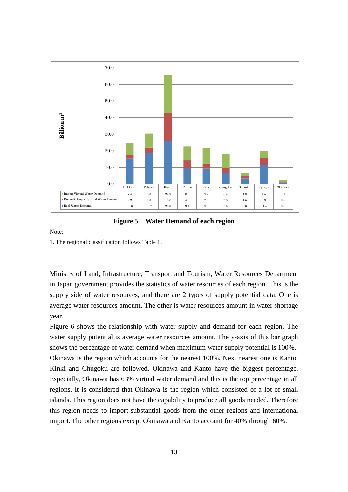![](_page_12_Figure_0.jpeg)

**Figure 5 Water Demand of each region**

1. The regional classification follows Table 1.

Ministry of Land, Infrastructure, Transport and Tourism, Water Resources Department in Japan government provides the statistics of water resources of each region. This is the supply side of water resources, and there are 2 types of supply potential data. One is average water resources amount. The other is water resources amount in water shortage year.

Figure 6 shows the relationship with water supply and demand for each region. The water supply potential is average water resources amount. The y-axis of this bar graph shows the percentage of water demand when maximum water supply potential is 100%. Okinawa is the region which accounts for the nearest 100%. Next nearest one is Kanto. Kinki and Chugoku are followed. Okinawa and Kanto have the biggest percentage. Especially, Okinawa has 63% virtual water demand and this is the top percentage in all regions. It is considered that Okinawa is the region which consisted of a lot of small islands. This region does not have the capability to produce all goods needed. Therefore this region needs to import substantial goods from the other regions and international import. The other regions except Okinawa and Kanto account for 40% through 60%.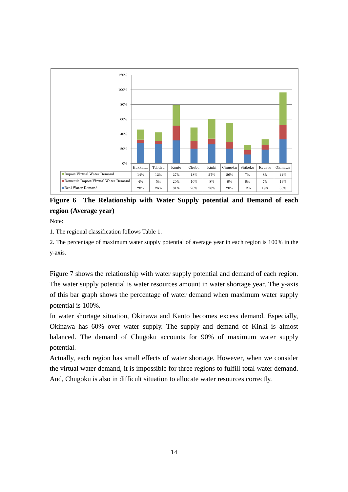![](_page_13_Figure_0.jpeg)

**Figure 6 The Relationship with Water Supply potential and Demand of each region (Average year)**

1. The regional classification follows Table 1.

2. The percentage of maximum water supply potential of average year in each region is 100% in the y-axis.

Figure 7 shows the relationship with water supply potential and demand of each region. The water supply potential is water resources amount in water shortage year. The y-axis of this bar graph shows the percentage of water demand when maximum water supply potential is 100%.

In water shortage situation, Okinawa and Kanto becomes excess demand. Especially, Okinawa has 60% over water supply. The supply and demand of Kinki is almost balanced. The demand of Chugoku accounts for 90% of maximum water supply potential.

Actually, each region has small effects of water shortage. However, when we consider the virtual water demand, it is impossible for three regions to fulfill total water demand. And, Chugoku is also in difficult situation to allocate water resources correctly.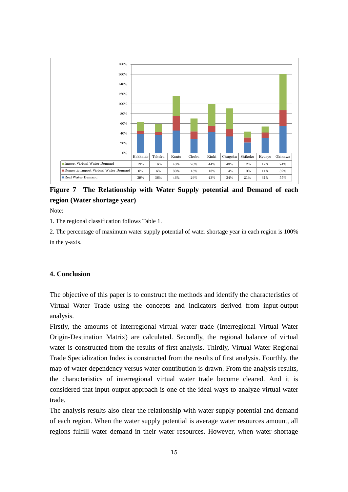![](_page_14_Figure_0.jpeg)

**Figure 7 The Relationship with Water Supply potential and Demand of each region (Water shortage year)**

1. The regional classification follows Table 1.

2. The percentage of maximum water supply potential of water shortage year in each region is 100% in the y-axis.

#### **4. Conclusion**

The objective of this paper is to construct the methods and identify the characteristics of Virtual Water Trade using the concepts and indicators derived from input-output analysis.

Firstly, the amounts of interregional virtual water trade (Interregional Virtual Water Origin-Destination Matrix) are calculated. Secondly, the regional balance of virtual water is constructed from the results of first analysis. Thirdly, Virtual Water Regional Trade Specialization Index is constructed from the results of first analysis. Fourthly, the map of water dependency versus water contribution is drawn. From the analysis results, the characteristics of interregional virtual water trade become cleared. And it is considered that input-output approach is one of the ideal ways to analyze virtual water trade.

The analysis results also clear the relationship with water supply potential and demand of each region. When the water supply potential is average water resources amount, all regions fulfill water demand in their water resources. However, when water shortage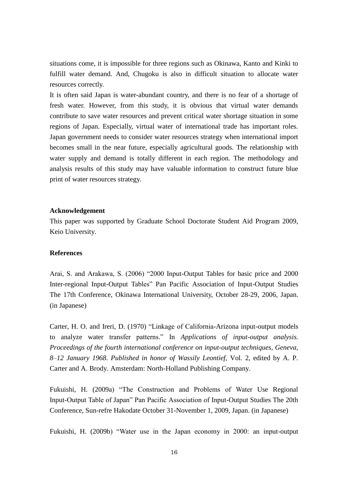situations come, it is impossible for three regions such as Okinawa, Kanto and Kinki to fulfill water demand. And, Chugoku is also in difficult situation to allocate water resources correctly.

It is often said Japan is water-abundant country, and there is no fear of a shortage of fresh water. However, from this study, it is obvious that virtual water demands contribute to save water resources and prevent critical water shortage situation in some regions of Japan. Especially, virtual water of international trade has important roles. Japan government needs to consider water resources strategy when international import becomes small in the near future, especially agricultural goods. The relationship with water supply and demand is totally different in each region. The methodology and analysis results of this study may have valuable information to construct future blue print of water resources strategy.

#### **Acknowledgement**

This paper was supported by Graduate School Doctorate Student Aid Program 2009, Keio University.

## **References**

Arai, S. and Arakawa, S. (2006) "2000 Input-Output Tables for basic price and 2000 Inter-regional Input-Output Tables" Pan Pacific Association of Input-Output Studies The 17th Conference, Okinawa International University, October 28-29, 2006, Japan. (in Japanese)

Carter, H. O. and Ireri, D. (1970) "Linkage of California-Arizona input-output models to analyze water transfer patterns." In *Applications of input-output analysis. Proceedings of the fourth international conference on input-output techniques, Geneva, 8–12 January 1968. Published in honor of Wassily Leontief*, Vol. 2, edited by A. P. Carter and A. Brody. Amsterdam: North-Holland Publishing Company.

Fukuishi, H. (2009a) "The Construction and Problems of Water Use Regional Input-Output Table of Japan" Pan Pacific Association of Input-Output Studies The 20th Conference, Sun-refre Hakodate October 31-November 1, 2009, Japan. (in Japanese)

Fukuishi, H. (2009b) "Water use in the Japan economy in 2000: an input-output